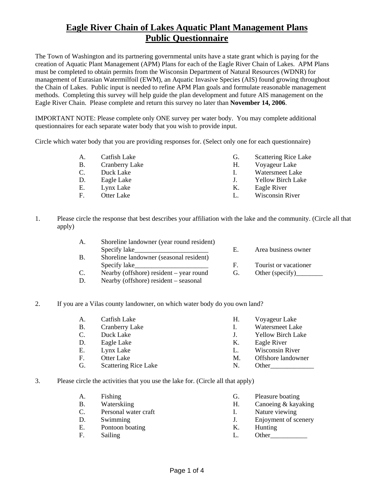The Town of Washington and its partnering governmental units have a state grant which is paying for the creation of Aquatic Plant Management (APM) Plans for each of the Eagle River Chain of Lakes. APM Plans must be completed to obtain permits from the Wisconsin Department of Natural Resources (WDNR) for management of Eurasian Watermilfoil (EWM), an Aquatic Invasive Species (AIS) found growing throughout the Chain of Lakes. Public input is needed to refine APM Plan goals and formulate reasonable management methods. Completing this survey will help guide the plan development and future AIS management on the Eagle River Chain. Please complete and return this survey no later than **November 14, 2006**.

IMPORTANT NOTE: Please complete only ONE survey per water body. You may complete additional questionnaires for each separate water body that you wish to provide input.

Circle which water body that you are providing responses for. (Select only one for each questionnaire)

| А. | Catfish Lake          | G. | <b>Scattering Rice Lake</b> |
|----|-----------------------|----|-----------------------------|
| В. | <b>Cranberry Lake</b> | Н. | Voyageur Lake               |
|    | Duck Lake             |    | Watersmeet Lake             |
| D. | Eagle Lake            |    | <b>Yellow Birch Lake</b>    |
| Е. | Lynx Lake             | Κ. | Eagle River                 |
| F. | Otter Lake            |    | Wisconsin River             |
|    |                       |    |                             |

1. Please circle the response that best describes your affiliation with the lake and the community. (Circle all that apply)

| A.        | Shoreline landowner (year round resident) |    |                                 |
|-----------|-------------------------------------------|----|---------------------------------|
|           | Specify lake                              | Е. | Area business owner             |
| <b>B.</b> | Shoreline landowner (seasonal resident)   |    |                                 |
|           | Specify lake                              | F. | Tourist or vacationer           |
| C.        | Nearby (offshore) resident $-$ year round | G. | Other (specify) $\qquad \qquad$ |
| D.        | Nearby (offshore) resident – seasonal     |    |                                 |

2. If you are a Vilas county landowner, on which water body do you own land?

| А.        | Catfish Lake                | Н. | Voyageur Lake            |
|-----------|-----------------------------|----|--------------------------|
| <b>B.</b> | <b>Cranberry Lake</b>       |    | Watersmeet Lake          |
| C.        | Duck Lake                   |    | <b>Yellow Birch Lake</b> |
| D.        | Eagle Lake                  | К. | Eagle River              |
| Е.        | Lynx Lake                   | L. | <b>Wisconsin River</b>   |
| F.        | Otter Lake                  | M. | Offshore landowner       |
| G.        | <b>Scattering Rice Lake</b> | N. | Other                    |

3. Please circle the activities that you use the lake for. (Circle all that apply)

| А. | Fishing              | G. | Pleasure boating     |
|----|----------------------|----|----------------------|
| В. | Waterskiing          | Н. | Canoeing & kayaking  |
|    | Personal water craft |    | Nature viewing       |
| D. | Swimming             | J. | Enjoyment of scenery |
| Ε. | Pontoon boating      | Κ. | Hunting              |
| F. | Sailing              |    | Other                |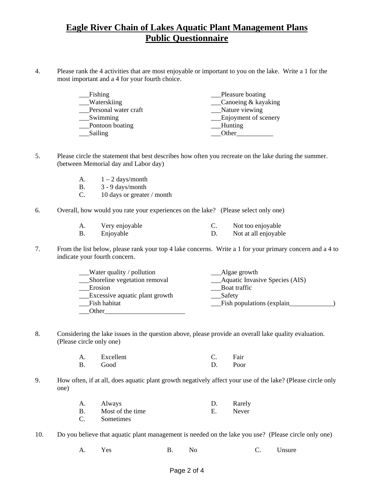4. Please rank the 4 activities that are most enjoyable or important to you on the lake. Write a 1 for the most important and a 4 for your fourth choice.

| Fishing              | Pleasure boating                            |
|----------------------|---------------------------------------------|
| _Waterskiing         | $\textcolor{red}{\sim}$ Canoeing & kayaking |
| Personal water craft | Nature viewing                              |
| Swimming             | __Enjoyment of scenery                      |
| Pontoon boating      | Hunting                                     |
| Sailing              | Other                                       |

- 5. Please circle the statement that best describes how often you recreate on the lake during the summer. (between Memorial day and Labor day)
	- A.  $1 2 \text{ days/month}$
	- B. 3 9 days/month
	- C. 10 days or greater / month
- 6. Overall, how would you rate your experiences on the lake? (Please select only one)

| Very enjoyable | Not too enjoyable    |
|----------------|----------------------|
| Enjoyable      | Not at all enjoyable |

7. From the list below, please rank your top 4 lake concerns. Write a 1 for your primary concern and a 4 to indicate your fourth concern.

| Water quality / pollution      | __Algae growth                 |
|--------------------------------|--------------------------------|
| Shoreline vegetation removal   | Aquatic Invasive Species (AIS) |
| Erosion                        | Boat traffic                   |
| Excessive aquatic plant growth | Safety                         |
| Fish habitat                   | Fish populations (explain      |
| Other                          |                                |

8. Considering the lake issues in the question above, please provide an overall lake quality evaluation. (Please circle only one)

| $\mathbf{A}$ | Excellent | Fair |
|--------------|-----------|------|
| <b>B</b> .   | Good      | Poor |

9. How often, if at all, does aquatic plant growth negatively affect your use of the lake? (Please circle only one)

| А. | Always           | Rarely |
|----|------------------|--------|
| B. | Most of the time | Never  |
| С. | Sometimes        |        |

10. Do you believe that aquatic plant management is needed on the lake you use? (Please circle only one)

A. Yes B. No C. Unsure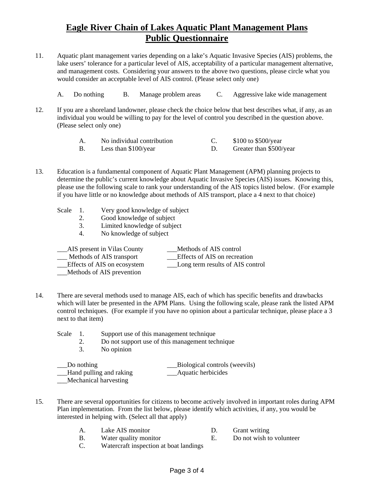- 11. Aquatic plant management varies depending on a lake's Aquatic Invasive Species (AIS) problems, the lake users' tolerance for a particular level of AIS, acceptability of a particular management alternative, and management costs. Considering your answers to the above two questions, please circle what you would consider an acceptable level of AIS control. (Please select only one)
	- A. Do nothing B. Manage problem areas C. Aggressive lake wide management
- 12. If you are a shoreland landowner, please check the choice below that best describes what, if any, as an individual you would be willing to pay for the level of control you described in the question above. (Please select only one)

| No individual contribution | \$100 to \$500/year     |
|----------------------------|-------------------------|
| Less than $$100$ /year     | Greater than \$500/year |

- 13. Education is a fundamental component of Aquatic Plant Management (APM) planning projects to determine the public's current knowledge about Aquatic Invasive Species (AIS) issues. Knowing this, please use the following scale to rank your understanding of the AIS topics listed below. (For example if you have little or no knowledge about methods of AIS transport, place a 4 next to that choice)
	- Scale 1. Very good knowledge of subject
		- 2. Good knowledge of subject
		- 3. Limited knowledge of subject
		- 4. No knowledge of subject

| __AIS present in Vilas County | Methods of AIS control           |
|-------------------------------|----------------------------------|
| Methods of AIS transport      | Effects of AIS on recreation     |
| Effects of AIS on ecosystem   | Long term results of AIS control |
| Methods of AIS prevention     |                                  |

- 14. There are several methods used to manage AIS, each of which has specific benefits and drawbacks which will later be presented in the APM Plans. Using the following scale, please rank the listed APM control techniques. (For example if you have no opinion about a particular technique, please place a 3 next to that item)
	- Scale 1. Support use of this management technique
		- 2. Do not support use of this management technique
		- 3. No opinion

| Do nothing              | Biological controls (weevils) |
|-------------------------|-------------------------------|
| Hand pulling and raking | Aquatic herbicides            |
| Mechanical harvesting   |                               |

- 15. There are several opportunities for citizens to become actively involved in important roles during APM Plan implementation. From the list below, please identify which activities, if any, you would be interested in helping with. (Select all that apply)
	- A. Lake AIS monitor D. Grant writing
	- B. Water quality monitor E. Do not wish to volunteer
	- C. Watercraft inspection at boat landings